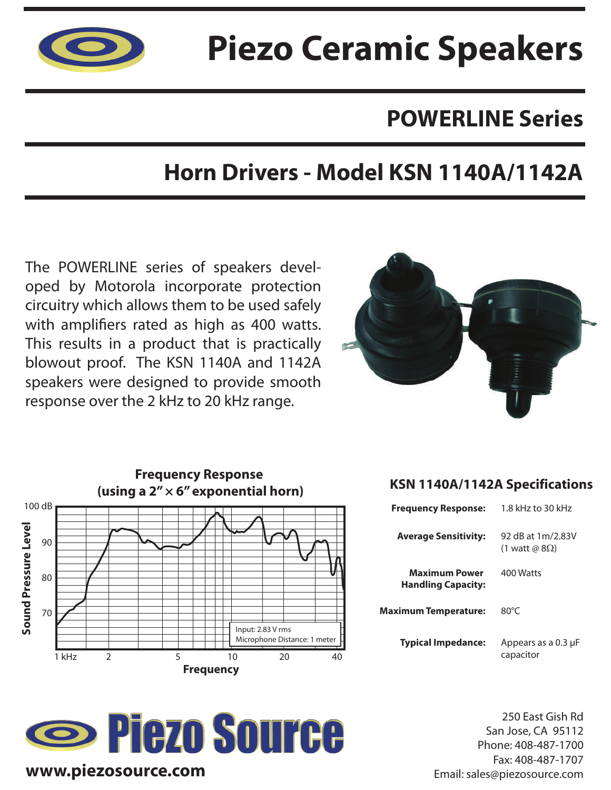

# **Piezo Ceramic Speakers**

## **POWERLINE Series**

## **Horn Drivers - Model KSN 1140A/1142A**

The POWERLINE series of speakers developed by Motorola incorporate protection circuitry which allows them to be used safely with amplifiers rated as high as 400 watts. This results in a product that is practically blowout proof. The KSN 1140A and 1142A speakers were designed to provide smooth response over the 2 kHz to 20 kHz range.







#### **KSN 1140A/1142A Specifications**

| <b>Frequency Response:</b>                        | 1.8 kHz to 30 kHz                          |
|---------------------------------------------------|--------------------------------------------|
| <b>Average Sensitivity:</b>                       | 92 dB at 1m/2.83V<br>(1 watt @ $8\Omega$ ) |
| <b>Maximum Power</b><br><b>Handling Capacity:</b> | 400 Watts                                  |
| <b>Maximum Temperature:</b>                       | $80^{\circ}$ C                             |
| <b>Typical Impedance:</b>                         | Appears as a 0.3 µF<br>capacitor           |

250 East Gish Rd San Jose, CA 95112 Phone: 408-487-1700 Fax: 408-487-1707 Email: sales@piezosource.com